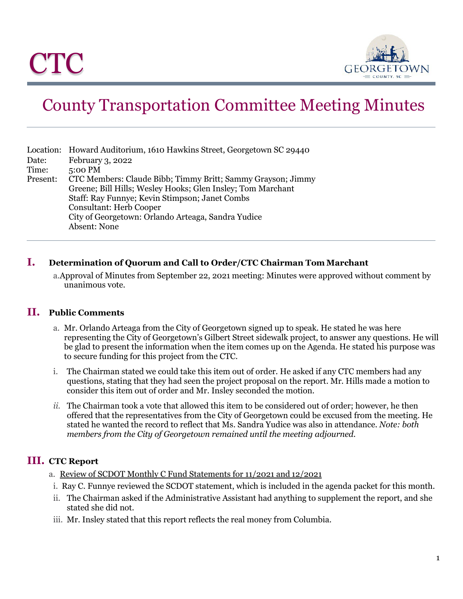

# County Transportation Committee Meeting Minutes

|          | Location: Howard Auditorium, 1610 Hawkins Street, Georgetown SC 29440 |
|----------|-----------------------------------------------------------------------|
| Date:    | February 3, 2022                                                      |
| Time:    | 5:00 PM                                                               |
| Present: | CTC Members: Claude Bibb; Timmy Britt; Sammy Grayson; Jimmy           |
|          | Greene; Bill Hills; Wesley Hooks; Glen Insley; Tom Marchant           |
|          | Staff: Ray Funnye; Kevin Stimpson; Janet Combs                        |
|          | <b>Consultant: Herb Cooper</b>                                        |
|          | City of Georgetown: Orlando Arteaga, Sandra Yudice                    |
|          | Absent: None                                                          |

# **I. Determination of Quorum and Call to Order/CTC Chairman Tom Marchant**

a.Approval of Minutes from September 22, 2021 meeting: Minutes were approved without comment by unanimous vote.

### **II. Public Comments**

- a. Mr. Orlando Arteaga from the City of Georgetown signed up to speak. He stated he was here representing the City of Georgetown's Gilbert Street sidewalk project, to answer any questions. He will be glad to present the information when the item comes up on the Agenda. He stated his purpose was to secure funding for this project from the CTC.
- i. The Chairman stated we could take this item out of order. He asked if any CTC members had any questions, stating that they had seen the project proposal on the report. Mr. Hills made a motion to consider this item out of order and Mr. Insley seconded the motion.
- *ii.* The Chairman took a vote that allowed this item to be considered out of order; however, he then offered that the representatives from the City of Georgetown could be excused from the meeting. He stated he wanted the record to reflect that Ms. Sandra Yudice was also in attendance. *Note: both members from the City of Georgetown remained until the meeting adjourned.*

# **III. CTC Report**

- a. Review of SCDOT Monthly C Fund Statements for 11/2021 and 12/2021
- i. Ray C. Funnye reviewed the SCDOT statement, which is included in the agenda packet for this month.
- ii. The Chairman asked if the Administrative Assistant had anything to supplement the report, and she stated she did not.
- iii. Mr. Insley stated that this report reflects the real money from Columbia.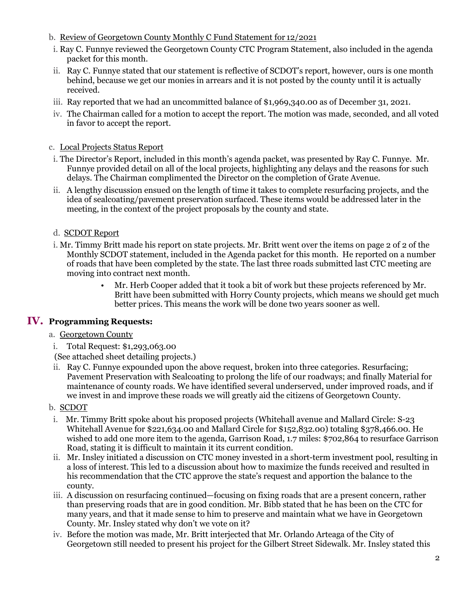- b. Review of Georgetown County Monthly C Fund Statement for 12/2021
- i. Ray C. Funnye reviewed the Georgetown County CTC Program Statement, also included in the agenda packet for this month.
- ii. Ray C. Funnye stated that our statement is reflective of SCDOT's report, however, ours is one month behind, because we get our monies in arrears and it is not posted by the county until it is actually received.
- iii. Ray reported that we had an uncommitted balance of \$1,969,340.00 as of December 31, 2021.
- iv. The Chairman called for a motion to accept the report. The motion was made, seconded, and all voted in favor to accept the report.
- c. Local Projects Status Report
- i. The Director's Report, included in this month's agenda packet, was presented by Ray C. Funnye. Mr. Funnye provided detail on all of the local projects, highlighting any delays and the reasons for such delays. The Chairman complimented the Director on the completion of Grate Avenue.
- ii. A lengthy discussion ensued on the length of time it takes to complete resurfacing projects, and the idea of sealcoating/pavement preservation surfaced. These items would be addressed later in the meeting, in the context of the project proposals by the county and state.
- d. SCDOT Report
- i. Mr. Timmy Britt made his report on state projects. Mr. Britt went over the items on page 2 of 2 of the Monthly SCDOT statement, included in the Agenda packet for this month. He reported on a number of roads that have been completed by the state. The last three roads submitted last CTC meeting are moving into contract next month.
	- Mr. Herb Cooper added that it took a bit of work but these projects referenced by Mr. Britt have been submitted with Horry County projects, which means we should get much better prices. This means the work will be done two years sooner as well.

### **IV. Programming Requests:**

- a. Georgetown County
- i. Total Request: \$1,293,063.00

(See attached sheet detailing projects.)

ii. Ray C. Funnye expounded upon the above request, broken into three categories. Resurfacing; Pavement Preservation with Sealcoating to prolong the life of our roadways; and finally Material for maintenance of county roads. We have identified several underserved, under improved roads, and if we invest in and improve these roads we will greatly aid the citizens of Georgetown County.

#### b. SCDOT

- i. Mr. Timmy Britt spoke about his proposed projects (Whitehall avenue and Mallard Circle: S-23 Whitehall Avenue for \$221,634.00 and Mallard Circle for \$152,832.00) totaling \$378,466.00. He wished to add one more item to the agenda, Garrison Road, 1.7 miles: \$702,864 to resurface Garrison Road, stating it is difficult to maintain it its current condition.
- ii. Mr. Insley initiated a discussion on CTC money invested in a short-term investment pool, resulting in a loss of interest. This led to a discussion about how to maximize the funds received and resulted in his recommendation that the CTC approve the state's request and apportion the balance to the county.
- iii. A discussion on resurfacing continued—focusing on fixing roads that are a present concern, rather than preserving roads that are in good condition. Mr. Bibb stated that he has been on the CTC for many years, and that it made sense to him to preserve and maintain what we have in Georgetown County. Mr. Insley stated why don't we vote on it?
- iv. Before the motion was made, Mr. Britt interjected that Mr. Orlando Arteaga of the City of Georgetown still needed to present his project for the Gilbert Street Sidewalk. Mr. Insley stated this